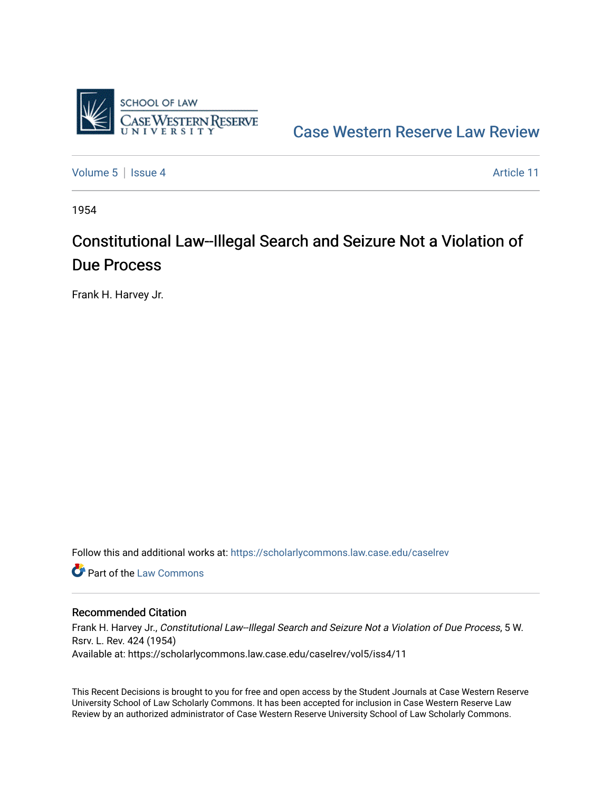

[Case Western Reserve Law Review](https://scholarlycommons.law.case.edu/caselrev) 

[Volume 5](https://scholarlycommons.law.case.edu/caselrev/vol5) | [Issue 4](https://scholarlycommons.law.case.edu/caselrev/vol5/iss4) Article 11

1954

# Constitutional Law--Illegal Search and Seizure Not a Violation of Due Process

Frank H. Harvey Jr.

Follow this and additional works at: [https://scholarlycommons.law.case.edu/caselrev](https://scholarlycommons.law.case.edu/caselrev?utm_source=scholarlycommons.law.case.edu%2Fcaselrev%2Fvol5%2Fiss4%2F11&utm_medium=PDF&utm_campaign=PDFCoverPages)

**C** Part of the [Law Commons](http://network.bepress.com/hgg/discipline/578?utm_source=scholarlycommons.law.case.edu%2Fcaselrev%2Fvol5%2Fiss4%2F11&utm_medium=PDF&utm_campaign=PDFCoverPages)

### Recommended Citation

Frank H. Harvey Jr., Constitutional Law--Illegal Search and Seizure Not a Violation of Due Process, 5 W. Rsrv. L. Rev. 424 (1954) Available at: https://scholarlycommons.law.case.edu/caselrev/vol5/iss4/11

This Recent Decisions is brought to you for free and open access by the Student Journals at Case Western Reserve University School of Law Scholarly Commons. It has been accepted for inclusion in Case Western Reserve Law Review by an authorized administrator of Case Western Reserve University School of Law Scholarly Commons.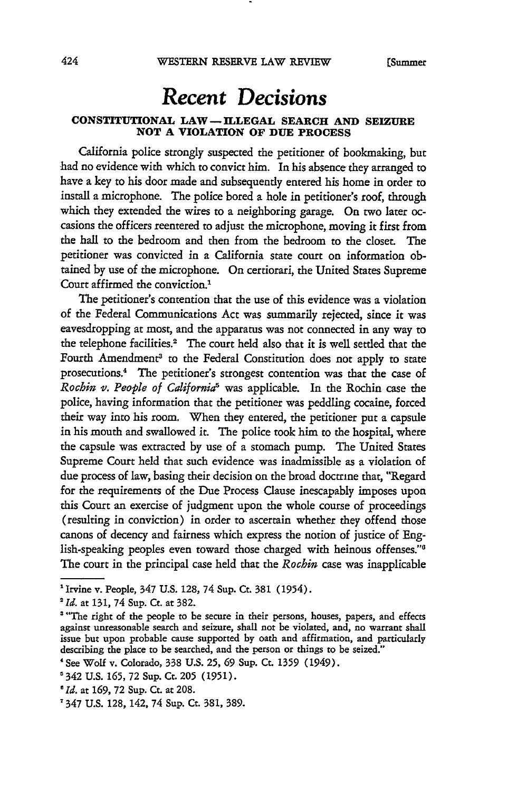## *Recent Decisions*

### **CONSTITUTIONAL LAW -ILLEGAL SEARCH AND SEIZURE NOT A VIOLATION OF DUE PROCESS**

California police strongly suspected the petitioner of bookmaking, but had no evidence with which to convict him. In his absence they arranged to have a key to his door made and subsequently entered his home in order to install a microphone. The police bored a hole in petitioner's roof, through which they extended the wires to a neighboring garage. On two later occasions the officers reentered to adjust the microphone, moving it first from the hall to the bedroom and then from the bedroom to the closer. The petitioner was convicted in a California state court on information obtained by use of the microphone. On certiorari, the United States Supreme Court affirmed the conviction.'

The petitioner's contention that the use of this evidence was a violation of the Federal Communications Act was summarily rejected, since it was eavesdropping at most, and the apparatus was not connected in any way to the telephone facilities.' The court held also that it is well settled that the Fourth Amendment<sup>3</sup> to the Federal Constitution does not apply to state prosecutions.4 The petitioner's strongest contention was that the case of *Rochin v. People of California5* was applicable. In the Rochin case the police, having information that the petitioner was peddling cocaine, forced their way into his room. When they entered, the petitioner put a capsule in his mouth and swallowed it. The police took him to the hospital, where the capsule was extracted by use of a stomach pump. The United States Supreme Court held that such evidence was inadmissible as a violation of due process of law, basing their decision on the broad doctrine that, "Regard for the requirements of the Due Process Clause inescapably imposes upon this Court an exercise of judgment upon the whole course of proceedings (resulting in conviction) in order to ascertain whether they offend those canons of decency and fairness which express the notion of justice of English-speaking peoples even toward those charged with heinous offenses." The court in the principal case held that the *Rochin* case was inapplicable

<sup>&#</sup>x27;Irvine v. People, 347 U.S. 128, 74 Sup. Ct. 381 (1954). *2 Id.* at 131, 74 Sup. Ct. at 382.

<sup>&</sup>lt;sup>3</sup> "The right of the people to be secure in their persons, houses, papers, and effects against unreasonable search and seizure, shall not be violated, and, no warrant shall issue but upon probable cause supported by oath and affirmation, and particularly describing the place to be searched, and the person or things to be seized."

<sup>&#</sup>x27;See Wolf v. Colorado, 338 U.S. 25, **69** Sup. Ct. 1359 (1949).

<sup>&#</sup>x27;342 U.S. 165, 72 Sup. Ct. 205 (1951).

*<sup>&#</sup>x27;Id.* at 169, 72 Sup. Ct. at 208.

<sup>&#</sup>x27;347 U.S. 128, 142, 74 Sup. Ct. 381, 389.